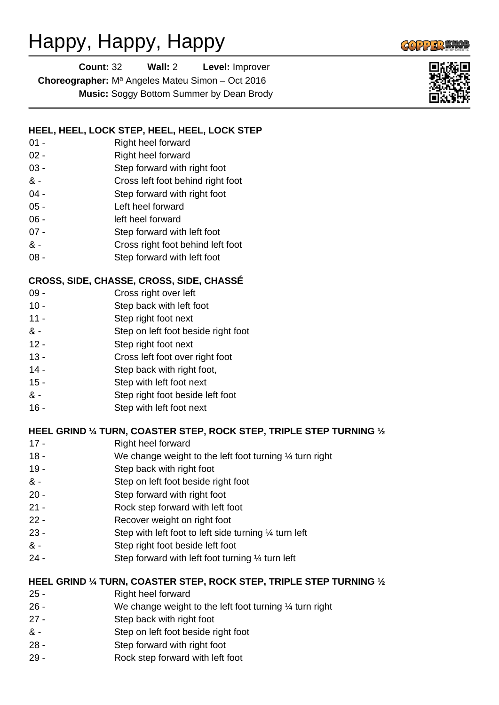# Happy, Happy, Happy

| <b>Count: 32</b> | Wall: $2 \overline{ }$ | Level: Improver                                                     |
|------------------|------------------------|---------------------------------------------------------------------|
|                  |                        | <b>Choreographer:</b> M <sup>a</sup> Angeles Mateu Simon – Oct 2016 |
|                  | --                     |                                                                     |

**Music:** Soggy Bottom Summer by Dean Brody

## **HEEL, HEEL, LOCK STEP, HEEL, HEEL, LOCK STEP**

- 01 Right heel forward
- 02 Right heel forward
- 03 Step forward with right foot
- & Cross left foot behind right foot
- 04 Step forward with right foot
- 05 Left heel forward
- 06 left heel forward
- 07 Step forward with left foot
- & Cross right foot behind left foot
- 08 Step forward with left foot

## **CROSS, SIDE, CHASSE, CROSS, SIDE, CHASSÉ**

- 09 Cross right over left
- 10 Step back with left foot
- 11 Step right foot next
- & Step on left foot beside right foot
- 12 Step right foot next
- 13 Cross left foot over right foot
- 14 Step back with right foot,
- 15 Step with left foot next
- & Step right foot beside left foot
- 16 Step with left foot next

#### **HEEL GRIND ¼ TURN, COASTER STEP, ROCK STEP, TRIPLE STEP TURNING ½**

- 17 Right heel forward
- 18 We change weight to the left foot turning 1/4 turn right
- 19 Step back with right foot
- & Step on left foot beside right foot
- 20 Step forward with right foot
- 21 Rock step forward with left foot
- 22 Recover weight on right foot
- 23 Step with left foot to left side turning ¼ turn left
- & Step right foot beside left foot
- 24 Step forward with left foot turning ¼ turn left

#### **HEEL GRIND ¼ TURN, COASTER STEP, ROCK STEP, TRIPLE STEP TURNING ½**

- 25 Right heel forward
- 26 We change weight to the left foot turning ¼ turn right
- 27 Step back with right foot
- & Step on left foot beside right foot
- 28 Step forward with right foot
- 29 Rock step forward with left foot